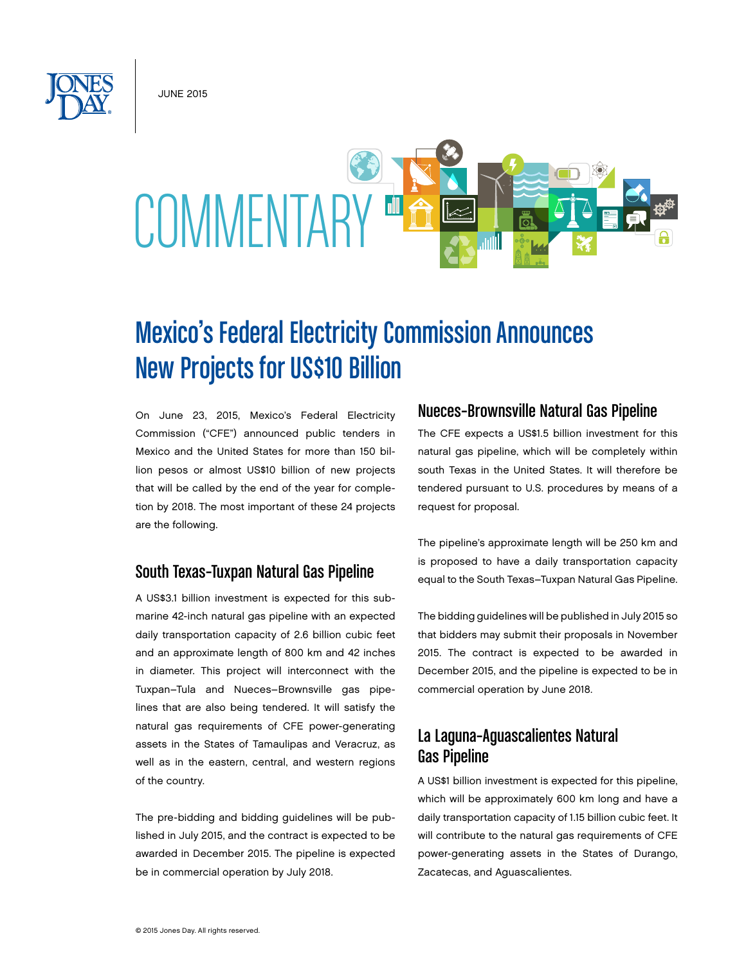JUNE 2015



# Mexico's Federal Electricity Commission Announces New Projects for US\$10 Billion

On June 23, 2015, Mexico's Federal Electricity Commission ("CFE") announced public tenders in Mexico and the United States for more than 150 billion pesos or almost US\$10 billion of new projects that will be called by the end of the year for completion by 2018. The most important of these 24 projects are the following.

### South Texas–Tuxpan Natural Gas Pipeline

A US\$3.1 billion investment is expected for this submarine 42-inch natural gas pipeline with an expected daily transportation capacity of 2.6 billion cubic feet and an approximate length of 800 km and 42 inches in diameter. This project will interconnect with the Tuxpan–Tula and Nueces–Brownsville gas pipelines that are also being tendered. It will satisfy the natural gas requirements of CFE power-generating assets in the States of Tamaulipas and Veracruz, as well as in the eastern, central, and western regions of the country.

The pre-bidding and bidding guidelines will be published in July 2015, and the contract is expected to be awarded in December 2015. The pipeline is expected be in commercial operation by July 2018.

### Nueces–Brownsville Natural Gas Pipeline

The CFE expects a US\$1.5 billion investment for this natural gas pipeline, which will be completely within south Texas in the United States. It will therefore be tendered pursuant to U.S. procedures by means of a request for proposal.

The pipeline's approximate length will be 250 km and is proposed to have a daily transportation capacity equal to the South Texas–Tuxpan Natural Gas Pipeline.

The bidding guidelines will be published in July 2015 so that bidders may submit their proposals in November 2015. The contract is expected to be awarded in December 2015, and the pipeline is expected to be in commercial operation by June 2018.

## La Laguna–Aguascalientes Natural Gas Pipeline

A US\$1 billion investment is expected for this pipeline, which will be approximately 600 km long and have a daily transportation capacity of 1.15 billion cubic feet. It will contribute to the natural gas requirements of CFE power-generating assets in the States of Durango, Zacatecas, and Aguascalientes.